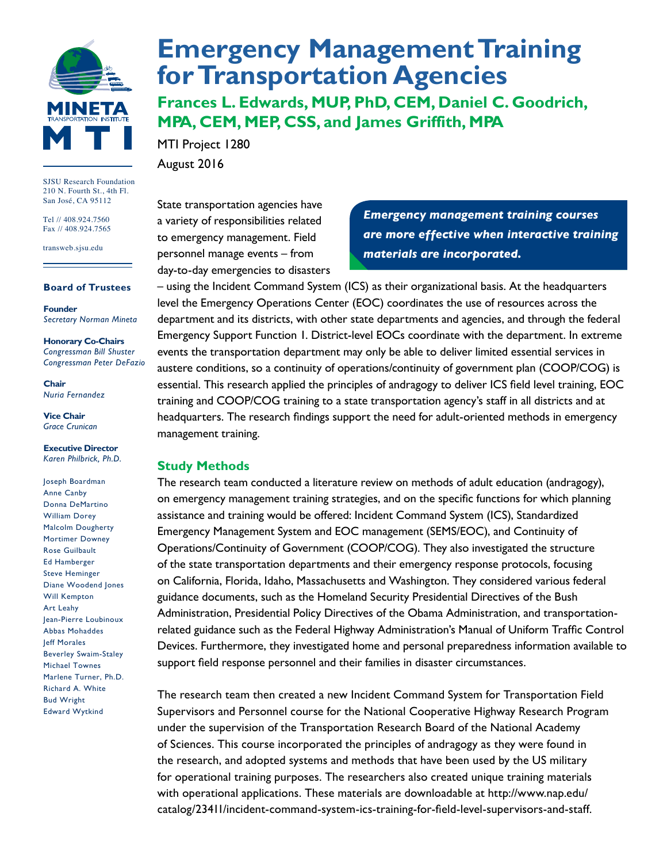

SJSU Research Foundation 210 N. Fourth St., 4th Fl. San José, CA 95112

Tel // 408.924.7560 Fax // 408.924.7565

transweb.sjsu.edu

#### **Board of Trustees**

**Founder** *Secretary Norman Mineta*

**Honorary Co-Chairs** *Congressman Bill Shuster Congressman Peter DeFazio*

**Chair** *Nuria Fernandez*

**Vice Chair** *Grace Crunican*

#### **Executive Director** *Karen Philbrick, Ph.D.*

Joseph Boardman Anne Canby Donna DeMartino William Dorey Malcolm Dougherty Mortimer Downey Rose Guilbault Ed Hamberger Steve Heminger Diane Woodend Jones Will Kempton Art Leahy Jean-Pierre Loubinoux Abbas Mohaddes Jeff Morales Beverley Swaim-Staley Michael Townes Marlene Turner, Ph.D. Richard A. White Bud Wright Edward Wytkind

# **[Emergency Management Training](http://transweb.sjsu.edu/project/1280.html) [for Transportation Agencies](http://transweb.sjsu.edu/project/1280.html)**

**Frances L. Edwards, MUP, PhD, CEM, Daniel C. Goodrich, MPA, CEM, MEP, CSS, and James Griffith, MPA**

MTI Project 1280 August 2016

State transportation agencies have a variety of responsibilities related to emergency management. Field personnel manage events – from day-to-day emergencies to disasters

*Emergency management training courses are more effective when interactive training materials are incorporated.*

– using the Incident Command System (ICS) as their organizational basis. At the headquarters level the Emergency Operations Center (EOC) coordinates the use of resources across the department and its districts, with other state departments and agencies, and through the federal Emergency Support Function 1. District-level EOCs coordinate with the department. In extreme events the transportation department may only be able to deliver limited essential services in austere conditions, so a continuity of operations/continuity of government plan (COOP/COG) is essential. This research applied the principles of andragogy to deliver ICS field level training, EOC training and COOP/COG training to a state transportation agency's staff in all districts and at headquarters. The research findings support the need for adult-oriented methods in emergency management training.

#### **Study Methods**

The research team conducted a literature review on methods of adult education (andragogy), on emergency management training strategies, and on the specific functions for which planning assistance and training would be offered: Incident Command System (ICS), Standardized Emergency Management System and EOC management (SEMS/EOC), and Continuity of Operations/Continuity of Government (COOP/COG). They also investigated the structure of the state transportation departments and their emergency response protocols, focusing on California, Florida, Idaho, Massachusetts and Washington. They considered various federal guidance documents, such as the Homeland Security Presidential Directives of the Bush Administration, Presidential Policy Directives of the Obama Administration, and transportationrelated guidance such as the Federal Highway Administration's Manual of Uniform Traffic Control Devices. Furthermore, they investigated home and personal preparedness information available to support field response personnel and their families in disaster circumstances.

The research team then created a new Incident Command System for Transportation Field Supervisors and Personnel course for the National Cooperative Highway Research Program under the supervision of the Transportation Research Board of the National Academy of Sciences. This course incorporated the principles of andragogy as they were found in the research, and adopted systems and methods that have been used by the US military for operational training purposes. The researchers also created unique training materials with operational applications. These materials are downloadable at http://www.nap.edu/ catalog/23411/incident-command-system-ics-training-for-field-level-supervisors-and-staff.